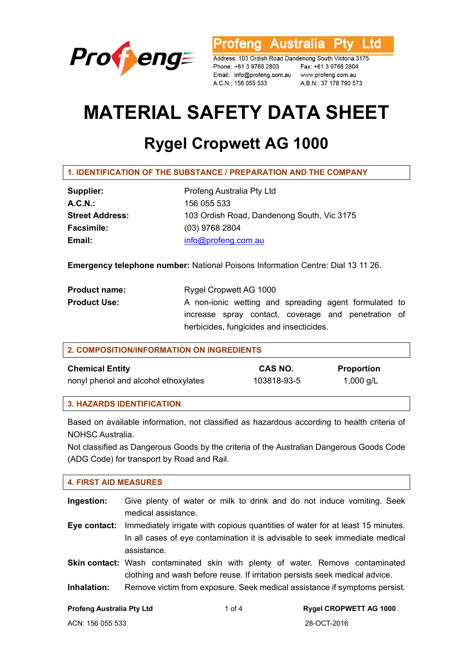

rofeng Australia Ptv Ltd

Address: 103 Ordish Road Dandenong South Victoria 3175 Phone: +61 3 9768 2803 Email: info@profeng.com.au www.profeng.com.au A.C.N.: 156 055 533

Fax: +61 3 9768 2804 A.B.N.: 37 178 790 573

# **MATERIAL SAFETY DATA SHEET**

## **Rygel Cropwett AG 1000**

**1. IDENTIFICATION OF THE SUBSTANCE / PREPARATION AND THE COMPANY** 

| Supplier:              | Profeng Australia Pty Ltd                  |
|------------------------|--------------------------------------------|
| $A.C.N.$ :             | 156 055 533                                |
| <b>Street Address:</b> | 103 Ordish Road, Dandenong South, Vic 3175 |
| <b>Facsimile:</b>      | $(03)$ 9768 2804                           |
| Email:                 | info@profeng.com.au                        |

**Emergency telephone number:** National Poisons Information Centre: Dial 13 11 26.

| <b>Product name:</b> | Rygel Cropwett AG 1000                                |
|----------------------|-------------------------------------------------------|
| <b>Product Use:</b>  | A non-ionic wetting and spreading agent formulated to |
|                      | increase spray contact, coverage and penetration of   |
|                      | herbicides, fungicides and insecticides.              |

| 2. COMPOSITION/INFORMATION ON INGREDIENTS |             |                   |  |  |
|-------------------------------------------|-------------|-------------------|--|--|
| <b>Chemical Entity</b>                    | CAS NO.     | <b>Proportion</b> |  |  |
| nonyl phenol and alcohol ethoxylates      | 103818-93-5 | 1,000 g/L         |  |  |

## **3. HAZARDS IDENTIFICATION**

Based on available information, not classified as hazardous according to health criteria of NOHSC Australia.

Not classified as Dangerous Goods by the criteria of the Australian Dangerous Goods Code (ADG Code) for transport by Road and Rail.

## **4. FIRST AID MEASURES**

- **Ingestion:** Give plenty of water or milk to drink and do not induce vomiting. Seek medical assistance.
- **Eye contact:** Immediately irrigate with copious quantities of water for at least 15 minutes. In all cases of eye contamination it is advisable to seek immediate medical assistance.
- **Skin contact:** Wash contaminated skin with plenty of water. Remove contaminated clothing and wash before reuse. If irritation persists seek medical advice.
- **Inhalation:** Remove victim from exposure. Seek medical assistance if symptoms persist.
-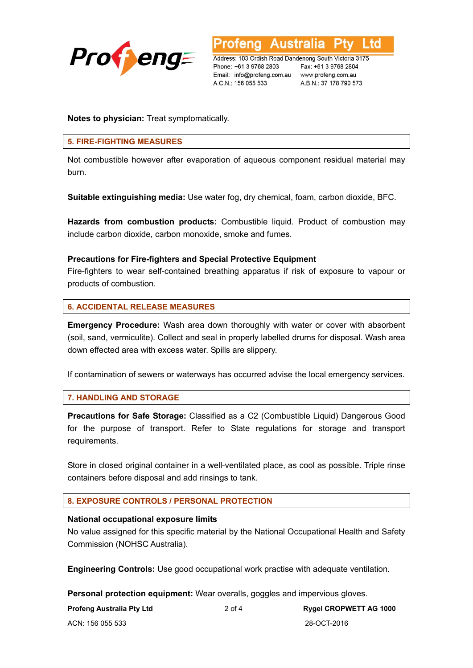

**Australia** .td

Address: 103 Ordish Road Dandenong South Victoria 3175 Phone: +61 3 9768 2803 Email: info@profeng.com.au www.profeng.com.au A.C.N.: 156 055 533

Fax: +61 3 9768 2804 A.B.N.: 37 178 790 573

**Notes to physician:** Treat symptomatically.

## **5. FIRE-FIGHTING MEASURES**

Not combustible however after evaporation of aqueous component residual material may burn.

**Suitable extinguishing media:** Use water fog, dry chemical, foam, carbon dioxide, BFC.

**Hazards from combustion products:** Combustible liquid. Product of combustion may include carbon dioxide, carbon monoxide, smoke and fumes.

## **Precautions for Fire-fighters and Special Protective Equipment**

Fire-fighters to wear self-contained breathing apparatus if risk of exposure to vapour or products of combustion.

## **6. ACCIDENTAL RELEASE MEASURES**

**Emergency Procedure:** Wash area down thoroughly with water or cover with absorbent (soil, sand, vermiculite). Collect and seal in properly labelled drums for disposal. Wash area down effected area with excess water. Spills are slippery.

If contamination of sewers or waterways has occurred advise the local emergency services.

## **7. HANDLING AND STORAGE**

**Precautions for Safe Storage:** Classified as a C2 (Combustible Liquid) Dangerous Good for the purpose of transport. Refer to State regulations for storage and transport requirements.

Store in closed original container in a well-ventilated place, as cool as possible. Triple rinse containers before disposal and add rinsings to tank.

## **8. EXPOSURE CONTROLS / PERSONAL PROTECTION**

## **National occupational exposure limits**

No value assigned for this specific material by the National Occupational Health and Safety Commission (NOHSC Australia).

**Engineering Controls:** Use good occupational work practise with adequate ventilation.

**Personal protection equipment:** Wear overalls, goggles and impervious gloves.

| <b>Profeng Australia Pty Ltd</b> |
|----------------------------------|
|----------------------------------|

2 of 4 **Rygel CROPWETT AG 1000**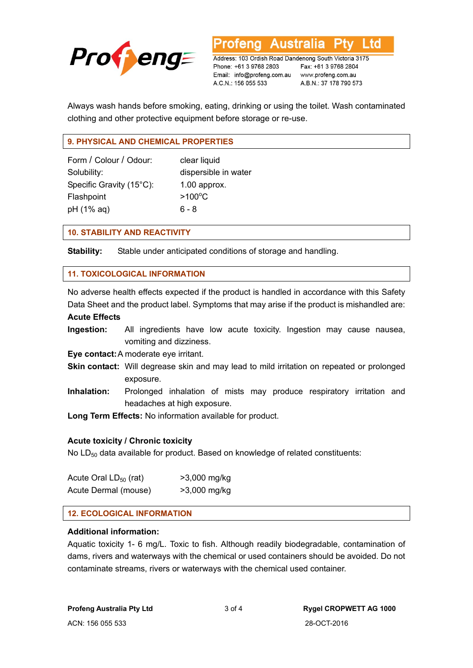

**Australia** rotena Address: 103 Ordish Road Dandenong South Victoria 3175

Phone: +61 3 9768 2803 Email: info@profeng.com.au www.profeng.com.au A.C.N.: 156 055 533

Fax: +61 3 9768 2804 A.B.N.: 37 178 790 573

Ltd

Always wash hands before smoking, eating, drinking or using the toilet. Wash contaminated clothing and other protective equipment before storage or re-use.

## **9. PHYSICAL AND CHEMICAL PROPERTIES**

| Form / Colour / Odour:   | clear liqu       |  |
|--------------------------|------------------|--|
| Solubility:              | dispersil        |  |
| Specific Gravity (15°C): | $1.00$ app       |  |
| Flashpoint               | $>100^{\circ}$ C |  |
| pH (1% aq)               | $6 - 8$          |  |

clear liquid dispersible in water  $1.00$  approx.  $6 - 8$ 

## **10. STABILITY AND REACTIVITY**

**Stability:** Stable under anticipated conditions of storage and handling.

## **11. TOXICOLOGICAL INFORMATION**

No adverse health effects expected if the product is handled in accordance with this Safety Data Sheet and the product label. Symptoms that may arise if the product is mishandled are:

## **Acute Effects**

**Ingestion:** All ingredients have low acute toxicity. Ingestion may cause nausea, vomiting and dizziness.

**Eye contact:** A moderate eye irritant.

- **Skin contact:** Will degrease skin and may lead to mild irritation on repeated or prolonged exposure.
- **Inhalation:** Prolonged inhalation of mists may produce respiratory irritation and headaches at high exposure.

**Long Term Effects:** No information available for product.

## **Acute toxicity / Chronic toxicity**

No  $LD_{50}$  data available for product. Based on knowledge of related constituents:

| Acute Oral $LD_{50}$ (rat) | >3,000 mg/kg |
|----------------------------|--------------|
| Acute Dermal (mouse)       | >3,000 mg/kg |

## **12. ECOLOGICAL INFORMATION**

## **Additional information:**

Aquatic toxicity 1- 6 mg/L. Toxic to fish. Although readily biodegradable, contamination of dams, rivers and waterways with the chemical or used containers should be avoided. Do not contaminate streams, rivers or waterways with the chemical used container.